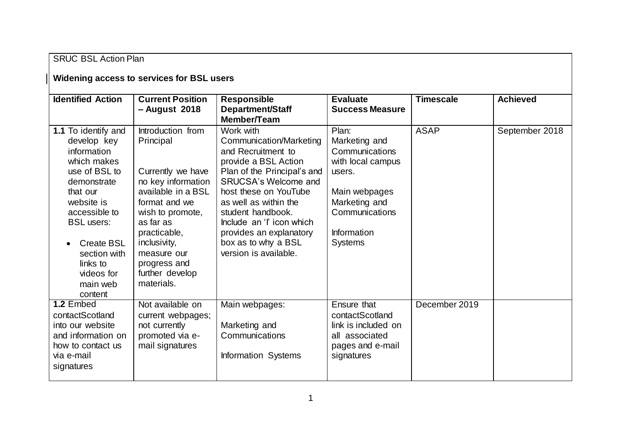## SRUC BSL Action Plan

## **Widening access to services for BSL users**

| <b>Identified Action</b>                                                                                                                                                                                          | <b>Current Position</b>                                                                                                                                                                                          | <b>Responsible</b>                                                                                                                                                                                                                                                                                                       | <b>Evaluate</b>                                                                                                                                                     | <b>Timescale</b> | <b>Achieved</b> |
|-------------------------------------------------------------------------------------------------------------------------------------------------------------------------------------------------------------------|------------------------------------------------------------------------------------------------------------------------------------------------------------------------------------------------------------------|--------------------------------------------------------------------------------------------------------------------------------------------------------------------------------------------------------------------------------------------------------------------------------------------------------------------------|---------------------------------------------------------------------------------------------------------------------------------------------------------------------|------------------|-----------------|
|                                                                                                                                                                                                                   | - August 2018                                                                                                                                                                                                    | Department/Staff                                                                                                                                                                                                                                                                                                         | <b>Success Measure</b>                                                                                                                                              |                  |                 |
|                                                                                                                                                                                                                   |                                                                                                                                                                                                                  | Member/Team                                                                                                                                                                                                                                                                                                              |                                                                                                                                                                     |                  |                 |
| 1.1 To identify and<br>develop key<br>information<br>which makes<br>use of BSL to<br>demonstrate<br>that our<br>website is<br>accessible to<br><b>BSL</b> users:<br><b>Create BSL</b><br>section with<br>links to | Introduction from<br>Principal<br>Currently we have<br>no key information<br>available in a BSL<br>format and we<br>wish to promote,<br>as far as<br>practicable,<br>inclusivity,<br>measure our<br>progress and | Work with<br>Communication/Marketing<br>and Recruitment to<br>provide a BSL Action<br>Plan of the Principal's and<br>SRUCSA's Welcome and<br>host these on YouTube<br>as well as within the<br>student handbook.<br>Include an 'l' icon which<br>provides an explanatory<br>box as to why a BSL<br>version is available. | Plan:<br>Marketing and<br>Communications<br>with local campus<br>users.<br>Main webpages<br>Marketing and<br>Communications<br><b>Information</b><br><b>Systems</b> | <b>ASAP</b>      | September 2018  |
| videos for<br>main web<br>content                                                                                                                                                                                 | further develop<br>materials.                                                                                                                                                                                    |                                                                                                                                                                                                                                                                                                                          |                                                                                                                                                                     |                  |                 |
| 1.2 Embed<br>contactScotland<br>into our website<br>and information on<br>how to contact us<br>via e-mail<br>signatures                                                                                           | Not available on<br>current webpages;<br>not currently<br>promoted via e-<br>mail signatures                                                                                                                     | Main webpages:<br>Marketing and<br>Communications<br>Information Systems                                                                                                                                                                                                                                                 | Ensure that<br>contactScotland<br>link is included on<br>all associated<br>pages and e-mail<br>signatures                                                           | December 2019    |                 |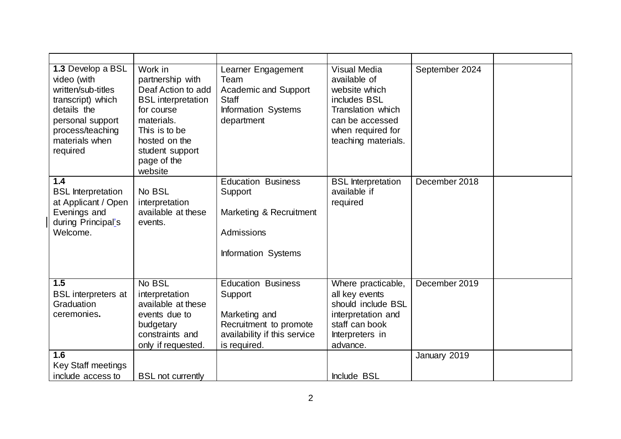| 1.3 Develop a BSL<br>video (with<br>written/sub-titles<br>transcript) which<br>details the<br>personal support<br>process/teaching<br>materials when<br>required | Work in<br>partnership with<br>Deaf Action to add<br><b>BSL</b> interpretation<br>for course<br>materials.<br>This is to be<br>hosted on the<br>student support<br>page of the<br>website | Learner Engagement<br>Team<br>Academic and Support<br><b>Staff</b><br>Information Systems<br>department                         | <b>Visual Media</b><br>available of<br>website which<br>includes BSL<br>Translation which<br>can be accessed<br>when required for<br>teaching materials. | September 2024 |  |
|------------------------------------------------------------------------------------------------------------------------------------------------------------------|-------------------------------------------------------------------------------------------------------------------------------------------------------------------------------------------|---------------------------------------------------------------------------------------------------------------------------------|----------------------------------------------------------------------------------------------------------------------------------------------------------|----------------|--|
| 1.4<br><b>BSL</b> Interpretation<br>at Applicant / Open<br>Evenings and<br>during Principal's<br>Welcome.                                                        | No BSL<br>interpretation<br>available at these<br>events.                                                                                                                                 | <b>Education Business</b><br>Support<br>Marketing & Recruitment<br>Admissions<br>Information Systems                            | <b>BSL</b> Interpretation<br>available if<br>required                                                                                                    | December 2018  |  |
| $\overline{1.5}$<br><b>BSL</b> interpreters at<br>Graduation<br>ceremonies.                                                                                      | No BSL<br>interpretation<br>available at these<br>events due to<br>budgetary<br>constraints and<br>only if requested.                                                                     | <b>Education Business</b><br>Support<br>Marketing and<br>Recruitment to promote<br>availability if this service<br>is required. | Where practicable,<br>all key events<br>should include BSL<br>interpretation and<br>staff can book<br>Interpreters in<br>advance.                        | December 2019  |  |
| 1.6                                                                                                                                                              |                                                                                                                                                                                           |                                                                                                                                 |                                                                                                                                                          | January 2019   |  |
| <b>Key Staff meetings</b>                                                                                                                                        |                                                                                                                                                                                           |                                                                                                                                 |                                                                                                                                                          |                |  |
| include access to                                                                                                                                                | <b>BSL not currently</b>                                                                                                                                                                  |                                                                                                                                 | Include BSL                                                                                                                                              |                |  |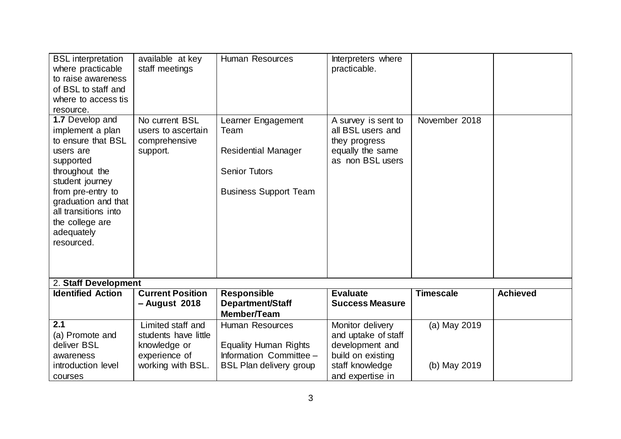| <b>BSL</b> interpretation<br>where practicable<br>to raise awareness<br>of BSL to staff and<br>where to access tis<br>resource.                                                                                                             | available at key<br>staff meetings                                                              | <b>Human Resources</b>                                                                                              | Interpreters where<br>practicable.                                                                                     |                              |                 |
|---------------------------------------------------------------------------------------------------------------------------------------------------------------------------------------------------------------------------------------------|-------------------------------------------------------------------------------------------------|---------------------------------------------------------------------------------------------------------------------|------------------------------------------------------------------------------------------------------------------------|------------------------------|-----------------|
| 1.7 Develop and<br>implement a plan<br>to ensure that BSL<br>users are<br>supported<br>throughout the<br>student journey<br>from pre-entry to<br>graduation and that<br>all transitions into<br>the college are<br>adequately<br>resourced. | No current BSL<br>users to ascertain<br>comprehensive<br>support.                               | Learner Engagement<br>Team<br><b>Residential Manager</b><br><b>Senior Tutors</b><br><b>Business Support Team</b>    | A survey is sent to<br>all BSL users and<br>they progress<br>equally the same<br>as non BSL users                      | November 2018                |                 |
| 2. Staff Development                                                                                                                                                                                                                        |                                                                                                 |                                                                                                                     |                                                                                                                        |                              |                 |
| <b>Identified Action</b>                                                                                                                                                                                                                    | <b>Current Position</b><br>- August 2018                                                        | <b>Responsible</b><br>Department/Staff<br>Member/Team                                                               | <b>Evaluate</b><br><b>Success Measure</b>                                                                              | <b>Timescale</b>             | <b>Achieved</b> |
| 2.1<br>(a) Promote and<br>deliver BSL<br>awareness<br>introduction level<br>courses                                                                                                                                                         | Limited staff and<br>students have little<br>knowledge or<br>experience of<br>working with BSL. | <b>Human Resources</b><br><b>Equality Human Rights</b><br>Information Committee -<br><b>BSL Plan delivery group</b> | Monitor delivery<br>and uptake of staff<br>development and<br>build on existing<br>staff knowledge<br>and expertise in | (a) May 2019<br>(b) May 2019 |                 |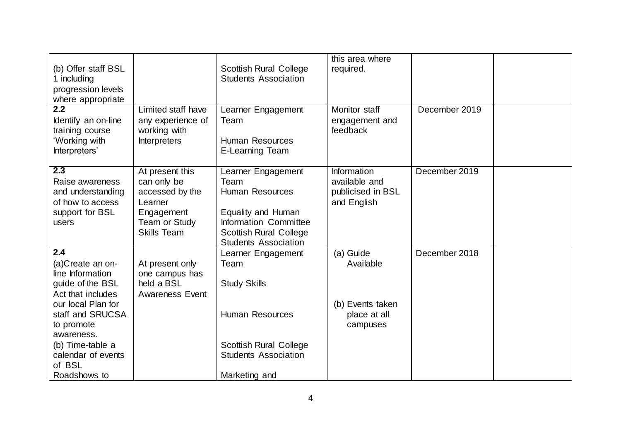| (b) Offer staff BSL<br>1 including<br>progression levels<br>where appropriate                                                                                                                                                               |                                                                                                                   | <b>Scottish Rural College</b><br><b>Students Association</b>                                                                                                        | this area where<br>required.                                             |               |  |
|---------------------------------------------------------------------------------------------------------------------------------------------------------------------------------------------------------------------------------------------|-------------------------------------------------------------------------------------------------------------------|---------------------------------------------------------------------------------------------------------------------------------------------------------------------|--------------------------------------------------------------------------|---------------|--|
| $\overline{2.2}$<br>Identify an on-line<br>training course<br>'Working with<br>Interpreters'                                                                                                                                                | Limited staff have<br>any experience of<br>working with<br><b>Interpreters</b>                                    | Learner Engagement<br>Team<br><b>Human Resources</b><br>E-Learning Team                                                                                             | Monitor staff<br>engagement and<br>feedback                              | December 2019 |  |
| 2.3<br>Raise awareness<br>and understanding<br>of how to access<br>support for BSL<br>users                                                                                                                                                 | At present this<br>can only be<br>accessed by the<br>Learner<br>Engagement<br>Team or Study<br><b>Skills Team</b> | Learner Engagement<br>Team<br><b>Human Resources</b><br>Equality and Human<br>Information Committee<br><b>Scottish Rural College</b><br><b>Students Association</b> | Information<br>available and<br>publicised in BSL<br>and English         | December 2019 |  |
| $\overline{2.4}$<br>(a)Create an on-<br>line Information<br>guide of the BSL<br>Act that includes<br>our local Plan for<br>staff and SRUCSA<br>to promote<br>awareness.<br>(b) Time-table a<br>calendar of events<br>of BSL<br>Roadshows to | At present only<br>one campus has<br>held a BSL<br><b>Awareness Event</b>                                         | Learner Engagement<br>Team<br><b>Study Skills</b><br><b>Human Resources</b><br><b>Scottish Rural College</b><br><b>Students Association</b><br>Marketing and        | $(a)$ Guide<br>Available<br>(b) Events taken<br>place at all<br>campuses | December 2018 |  |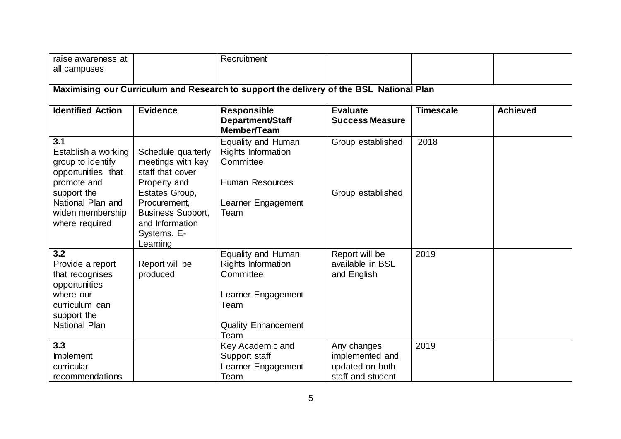| raise awareness at<br>all campuses                                                                                                                             |                                                                                                                                                                                         | Recruitment                                                                                                               |                                                                        |                  |                 |  |  |  |
|----------------------------------------------------------------------------------------------------------------------------------------------------------------|-----------------------------------------------------------------------------------------------------------------------------------------------------------------------------------------|---------------------------------------------------------------------------------------------------------------------------|------------------------------------------------------------------------|------------------|-----------------|--|--|--|
| Maximising our Curriculum and Research to support the delivery of the BSL National Plan                                                                        |                                                                                                                                                                                         |                                                                                                                           |                                                                        |                  |                 |  |  |  |
| <b>Identified Action</b>                                                                                                                                       | <b>Evidence</b>                                                                                                                                                                         | <b>Responsible</b><br>Department/Staff<br>Member/Team                                                                     | <b>Evaluate</b><br><b>Success Measure</b>                              | <b>Timescale</b> | <b>Achieved</b> |  |  |  |
| 3.1<br>Establish a working<br>group to identify<br>opportunities that<br>promote and<br>support the<br>National Plan and<br>widen membership<br>where required | Schedule quarterly<br>meetings with key<br>staff that cover<br>Property and<br>Estates Group,<br>Procurement,<br><b>Business Support,</b><br>and Information<br>Systems. E-<br>Learning | Equality and Human<br><b>Rights Information</b><br>Committee<br><b>Human Resources</b><br>Learner Engagement<br>Team      | Group established<br>Group established                                 | 2018             |                 |  |  |  |
| 3.2<br>Provide a report<br>that recognises<br>opportunities<br>where our<br>curriculum can<br>support the<br>National Plan                                     | Report will be<br>produced                                                                                                                                                              | Equality and Human<br>Rights Information<br>Committee<br>Learner Engagement<br>Team<br><b>Quality Enhancement</b><br>Team | Report will be<br>available in BSL<br>and English                      | 2019             |                 |  |  |  |
| 3.3<br>Implement<br>curricular<br>recommendations                                                                                                              |                                                                                                                                                                                         | Key Academic and<br>Support staff<br>Learner Engagement<br>Team                                                           | Any changes<br>implemented and<br>updated on both<br>staff and student | 2019             |                 |  |  |  |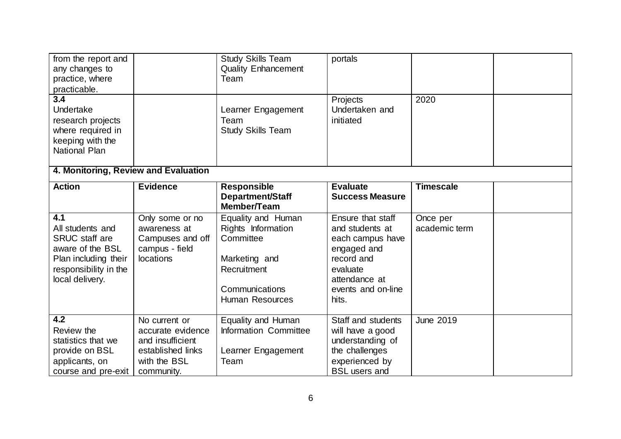| from the report and<br>any changes to<br>practice, where<br>practicable.                                                                 |                                                                                                           | <b>Study Skills Team</b><br><b>Quality Enhancement</b><br>Team                                                                    | portals                                                                                                                                           |                           |  |
|------------------------------------------------------------------------------------------------------------------------------------------|-----------------------------------------------------------------------------------------------------------|-----------------------------------------------------------------------------------------------------------------------------------|---------------------------------------------------------------------------------------------------------------------------------------------------|---------------------------|--|
| $\overline{3.4}$<br>Undertake<br>research projects<br>where required in<br>keeping with the<br><b>National Plan</b>                      |                                                                                                           | Learner Engagement<br>Team<br><b>Study Skills Team</b>                                                                            | Projects<br>Undertaken and<br>initiated                                                                                                           | 2020                      |  |
| 4. Monitoring, Review and Evaluation                                                                                                     |                                                                                                           |                                                                                                                                   |                                                                                                                                                   |                           |  |
| <b>Action</b>                                                                                                                            | <b>Evidence</b>                                                                                           | <b>Responsible</b><br>Department/Staff<br>Member/Team                                                                             | <b>Evaluate</b><br><b>Success Measure</b>                                                                                                         | <b>Timescale</b>          |  |
| 4.1<br>All students and<br><b>SRUC</b> staff are<br>aware of the BSL<br>Plan including their<br>responsibility in the<br>local delivery. | Only some or no<br>awareness at<br>Campuses and off<br>campus - field<br>locations                        | Equality and Human<br>Rights Information<br>Committee<br>Marketing and<br>Recruitment<br>Communications<br><b>Human Resources</b> | Ensure that staff<br>and students at<br>each campus have<br>engaged and<br>record and<br>evaluate<br>attendance at<br>events and on-line<br>hits. | Once per<br>academic term |  |
| 4.2<br>Review the<br>statistics that we<br>provide on BSL<br>applicants, on<br>course and pre-exit                                       | No current or<br>accurate evidence<br>and insufficient<br>established links<br>with the BSL<br>community. | Equality and Human<br>Information Committee<br>Learner Engagement<br>Team                                                         | Staff and students<br>will have a good<br>understanding of<br>the challenges<br>experienced by<br><b>BSL</b> users and                            | <b>June 2019</b>          |  |